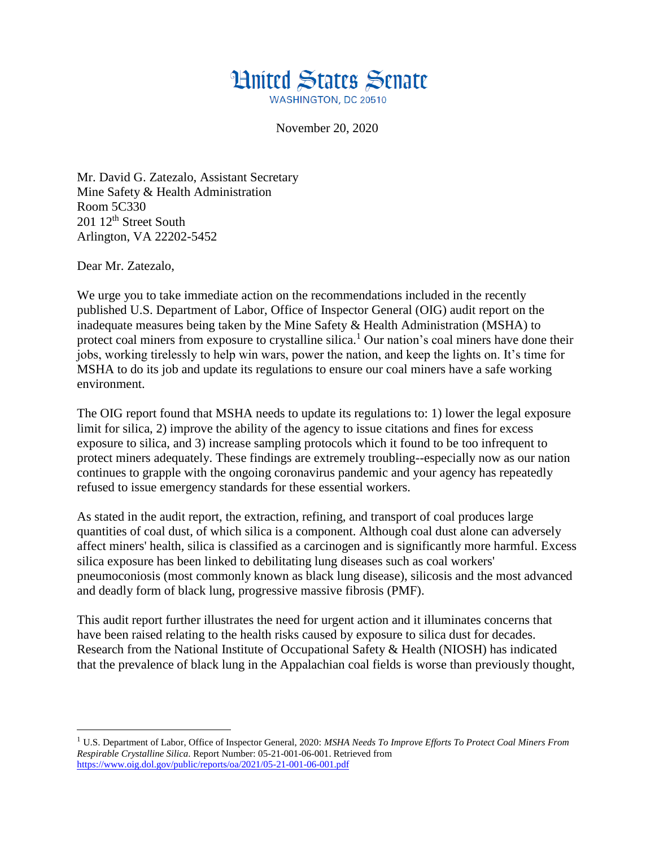

November 20, 2020

Mr. David G. Zatezalo, Assistant Secretary Mine Safety & Health Administration Room 5C330 201 12<sup>th</sup> Street South Arlington, VA 22202-5452

Dear Mr. Zatezalo,

 $\overline{\phantom{a}}$ 

We urge you to take immediate action on the recommendations included in the recently published U.S. Department of Labor, Office of Inspector General (OIG) audit report on the inadequate measures being taken by the Mine Safety & Health Administration (MSHA) to protect coal miners from exposure to crystalline silica.<sup>1</sup> Our nation's coal miners have done their jobs, working tirelessly to help win wars, power the nation, and keep the lights on. It's time for MSHA to do its job and update its regulations to ensure our coal miners have a safe working environment.

The OIG report found that MSHA needs to update its regulations to: 1) lower the legal exposure limit for silica, 2) improve the ability of the agency to issue citations and fines for excess exposure to silica, and 3) increase sampling protocols which it found to be too infrequent to protect miners adequately. These findings are extremely troubling--especially now as our nation continues to grapple with the ongoing coronavirus pandemic and your agency has repeatedly refused to issue emergency standards for these essential workers.

As stated in the audit report, the extraction, refining, and transport of coal produces large quantities of coal dust, of which silica is a component. Although coal dust alone can adversely affect miners' health, silica is classified as a carcinogen and is significantly more harmful. Excess silica exposure has been linked to debilitating lung diseases such as coal workers' pneumoconiosis (most commonly known as black lung disease), silicosis and the most advanced and deadly form of black lung, progressive massive fibrosis (PMF).

This audit report further illustrates the need for urgent action and it illuminates concerns that have been raised relating to the health risks caused by exposure to silica dust for decades. Research from the National Institute of Occupational Safety & Health (NIOSH) has indicated that the prevalence of black lung in the Appalachian coal fields is worse than previously thought,

<sup>1</sup> U.S. Department of Labor, Office of Inspector General, 2020: *MSHA Needs To Improve Efforts To Protect Coal Miners From Respirable Crystalline Silica*. Report Number: 05-21-001-06-001. Retrieved from <https://www.oig.dol.gov/public/reports/oa/2021/05-21-001-06-001.pdf>